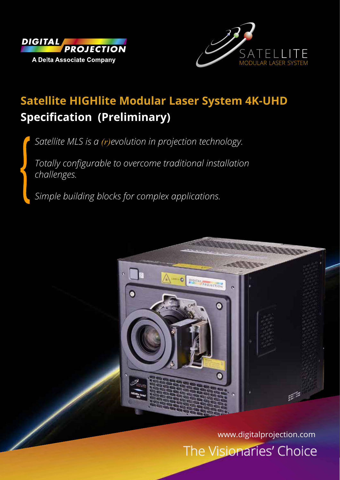



# **Satellite HIGHlite Modular Laser System 4K-UHD Specification (Preliminary)**

*Satellite MLS is a (r)evolution in projection technology.* 

*Totally configurable to overcome traditional installation challenges.* 

*Simple building blocks for complex applications.*



The Visionaries' Choice www.digitalprojection.com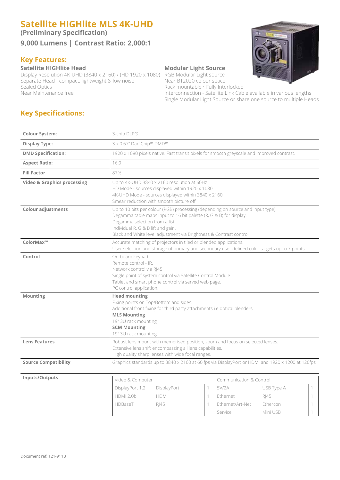## **Satellite HIGHlite MLS 4K-UHD**

**(Preliminary Specification)**

#### **9,000 Lumens | Contrast Ratio: 2,000:1**

#### **Key Features:**

#### **Satellite HIGHlite Head Modular Light Source**

Display Resolution 4K-UHD (3840 x 2160) / (HD 1920 x 1080) RGB Modular Light source<br>Separate Head - compact, lightweight & low noise Near BT2020 colour space Separate Head - compact, lightweight & low noise<br>Sealed Optics Sealed Optics<br>
Near Maintenance free Sealed Contract in the Rack mountable • Fully Interlocked<br>
Interconnection - Satellite Link Cab



Interconnection - Satellite Link Cable available in various lengths Single Modular Light Source or share one source to multiple Heads

### **Key Specifications:**

| <b>Colour System:</b>                  | 3-chip DLP®                                                                                                                                                                                                                                                                                          |                                                                                            |   |                  |            |   |  |  |
|----------------------------------------|------------------------------------------------------------------------------------------------------------------------------------------------------------------------------------------------------------------------------------------------------------------------------------------------------|--------------------------------------------------------------------------------------------|---|------------------|------------|---|--|--|
| <b>Display Type:</b>                   | 3 x 0.67" DarkChip™ DMD™                                                                                                                                                                                                                                                                             |                                                                                            |   |                  |            |   |  |  |
| <b>DMD Specification:</b>              |                                                                                                                                                                                                                                                                                                      | 1920 x 1080 pixels native. Fast transit pixels for smooth greyscale and improved contrast. |   |                  |            |   |  |  |
| <b>Aspect Ratio:</b>                   | 16:9                                                                                                                                                                                                                                                                                                 |                                                                                            |   |                  |            |   |  |  |
| <b>Fill Factor</b>                     | 87%                                                                                                                                                                                                                                                                                                  |                                                                                            |   |                  |            |   |  |  |
| <b>Video &amp; Graphics processing</b> | Up to 4K-UHD 3840 x 2160 resolution at 60Hz<br>HD Mode - sources displayed within 1920 x 1080<br>4K-UHD Mode - sources displayed within 3840 x 2160<br>Smear reduction with smooth picture off                                                                                                       |                                                                                            |   |                  |            |   |  |  |
| <b>Colour adjustments</b>              | Up to 10 bits per colour (RGB) processing (depending on source and input type).<br>Degamma table maps input to 16 bit palette (R, G & B) for display.<br>Degamma selection from a list.<br>Individual R, G & B lift and gain.<br>Black and White level adjustment via Brightness & Contrast control. |                                                                                            |   |                  |            |   |  |  |
| ColorMax™                              | Accurate matching of projectors in tiled or blended applications.<br>User selection and storage of primary and secondary user defined color targets up to 7 points.                                                                                                                                  |                                                                                            |   |                  |            |   |  |  |
| Control                                | On-board keypad.<br>Remote control - IR.<br>Network control via RJ45.<br>Single point of system control via Satellite Control Module<br>Tablet and smart phone control via served web page.<br>PC control application.                                                                               |                                                                                            |   |                  |            |   |  |  |
| <b>Mounting</b>                        | <b>Head mounting</b><br>Fixing points on Top/Bottom and sides.<br>Additional front fixing for third party attachments i.e optical blenders.<br><b>MLS Mounting</b><br>19" 3U rack mounting<br><b>SCM Mounting</b><br>19" 3U rack mounting                                                            |                                                                                            |   |                  |            |   |  |  |
| <b>Lens Features</b>                   | Robust lens mount with memorised position, zoom and focus on selected lenses.<br>Extensive lens shift encompassing all lens capabilities.<br>High quality sharp lenses with wide focal ranges.                                                                                                       |                                                                                            |   |                  |            |   |  |  |
| <b>Source Compatibility</b>            | Graphics standards up to 3840 x 2160 at 60 fps via DisplayPort or HDMI and 1920 x 1200 at 120fps                                                                                                                                                                                                     |                                                                                            |   |                  |            |   |  |  |
| Inputs/Outputs                         | Video & Computer<br>Communication & Control                                                                                                                                                                                                                                                          |                                                                                            |   |                  |            |   |  |  |
|                                        | DisplayPort 1.2                                                                                                                                                                                                                                                                                      | DisplayPort                                                                                | 1 | 5V/2A            | USB Type A | 1 |  |  |
|                                        | <b>HDMI 2.0b</b>                                                                                                                                                                                                                                                                                     | <b>HDMI</b>                                                                                | 1 | Ethernet         | R 45       | 1 |  |  |
|                                        | HDBaseT                                                                                                                                                                                                                                                                                              | RJ45                                                                                       | 1 | Ethernet/Art-Net | Ethercon   | 1 |  |  |
|                                        |                                                                                                                                                                                                                                                                                                      |                                                                                            |   | Service          | Mini USB   | 1 |  |  |
|                                        |                                                                                                                                                                                                                                                                                                      |                                                                                            |   |                  |            |   |  |  |